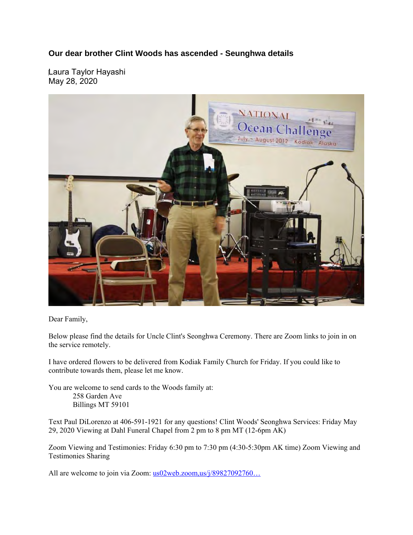**Our dear brother Clint Woods has ascended - Seunghwa details** 

Laura Taylor Hayashi May 28, 2020



Dear Family,

Below please find the details for Uncle Clint's Seonghwa Ceremony. There are Zoom links to join in on the service remotely.

I have ordered flowers to be delivered from Kodiak Family Church for Friday. If you could like to contribute towards them, please let me know.

You are welcome to send cards to the Woods family at: 258 Garden Ave Billings MT 59101

Text Paul DiLorenzo at 406-591-1921 for any questions! Clint Woods' Seonghwa Services: Friday May 29, 2020 Viewing at Dahl Funeral Chapel from 2 pm to 8 pm MT (12-6pm AK)

Zoom Viewing and Testimonies: Friday 6:30 pm to 7:30 pm (4:30-5:30pm AK time) Zoom Viewing and Testimonies Sharing

All are welcome to join via Zoom: us02web.zoom,us/j/89827092760...